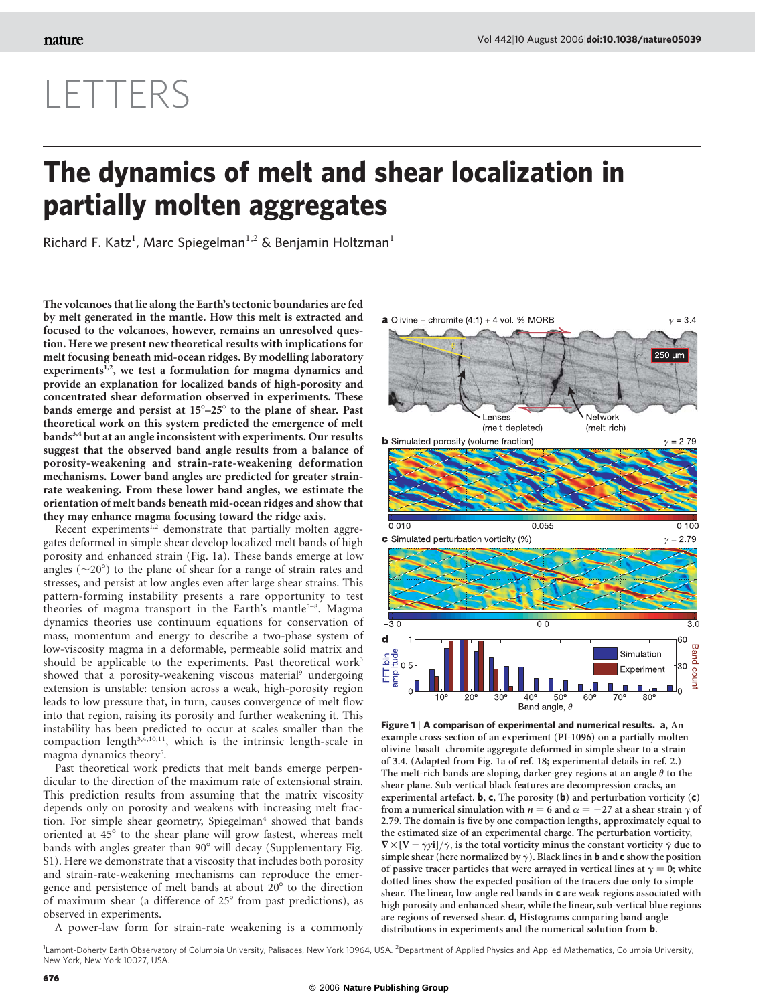## LETTERS

## The dynamics of melt and shear localization in partially molten aggregates

Richard F. Katz<sup>1</sup>, Marc Spiegelman<sup>1,2</sup> & Benjamin Holtzman<sup>1</sup>

The volcanoes that lie along the Earth's tectonic boundaries are fed by melt generated in the mantle. How this melt is extracted and focused to the volcanoes, however, remains an unresolved question. Here we present new theoretical results with implications for melt focusing beneath mid-ocean ridges. By modelling laboratory experiments<sup>1,2</sup>, we test a formulation for magma dynamics and provide an explanation for localized bands of high-porosity and concentrated shear deformation observed in experiments. These bands emerge and persist at  $15^{\circ}-25^{\circ}$  to the plane of shear. Past theoretical work on this system predicted the emergence of melt bands<sup>3,4</sup> but at an angle inconsistent with experiments. Our results suggest that the observed band angle results from a balance of porosity-weakening and strain-rate-weakening deformation mechanisms. Lower band angles are predicted for greater strainrate weakening. From these lower band angles, we estimate the orientation of melt bands beneath mid-ocean ridges and show that they may enhance magma focusing toward the ridge axis.

Recent experiments<sup>1,2</sup> demonstrate that partially molten aggregates deformed in simple shear develop localized melt bands of high porosity and enhanced strain (Fig. 1a). These bands emerge at low angles ( $\sim$ 20 $^{\circ}$ ) to the plane of shear for a range of strain rates and stresses, and persist at low angles even after large shear strains. This pattern-forming instability presents a rare opportunity to test theories of magma transport in the Earth's mantle<sup>5-8</sup>. Magma dynamics theories use continuum equations for conservation of mass, momentum and energy to describe a two-phase system of low-viscosity magma in a deformable, permeable solid matrix and should be applicable to the experiments. Past theoretical work<sup>3</sup> showed that a porosity-weakening viscous material<sup>9</sup> undergoing extension is unstable: tension across a weak, high-porosity region leads to low pressure that, in turn, causes convergence of melt flow into that region, raising its porosity and further weakening it. This instability has been predicted to occur at scales smaller than the compaction length $3,4,10,11$ , which is the intrinsic length-scale in magma dynamics theory<sup>5</sup>.

Past theoretical work predicts that melt bands emerge perpendicular to the direction of the maximum rate of extensional strain. This prediction results from assuming that the matrix viscosity depends only on porosity and weakens with increasing melt fraction. For simple shear geometry, Spiegelman<sup>4</sup> showed that bands oriented at 45° to the shear plane will grow fastest, whereas melt bands with angles greater than  $90^\circ$  will decay (Supplementary Fig. S1). Here we demonstrate that a viscosity that includes both porosity and strain-rate-weakening mechanisms can reproduce the emergence and persistence of melt bands at about  $20^{\circ}$  to the direction of maximum shear (a difference of 25° from past predictions), as observed in experiments.

A power-law form for strain-rate weakening is a commonly



Figure 1 | A comparison of experimental and numerical results. a, An example cross-section of an experiment (PI-1096) on a partially molten olivine–basalt–chromite aggregate deformed in simple shear to a strain of 3.4. (Adapted from Fig. 1a of ref. 18; experimental details in ref. 2.) The melt-rich bands are sloping, darker-grey regions at an angle  $\theta$  to the shear plane. Sub-vertical black features are decompression cracks, an experimental artefact. **b**, **c**, The porosity (**b**) and perturbation vorticity (**c**) from a numerical simulation with  $n = 6$  and  $\alpha = -27$  at a shear strain  $\gamma$  of 2.79. The domain is five by one compaction lengths, approximately equal to the estimated size of an experimental charge. The perturbation vorticity,  $\nabla \times [V - \dot{\gamma}y_i]/\dot{\gamma}$ , is the total vorticity minus the constant vorticity  $\dot{\gamma}$  due to simple shear (here normalized by  $\dot{\gamma}$ ). Black lines in **b** and **c** show the position of passive tracer particles that were arrayed in vertical lines at  $\gamma = 0$ ; white dotted lines show the expected position of the tracers due only to simple shear. The linear, low-angle red bands in c are weak regions associated with high porosity and enhanced shear, while the linear, sub-vertical blue regions are regions of reversed shear. d, Histograms comparing band-angle distributions in experiments and the numerical solution from **b**.

<sup>1</sup> Lamont-Doherty Earth Observatory of Columbia University, Palisades, New York 10964, USA. <sup>2</sup> Department of Applied Physics and Applied Mathematics, Columbia University, New York, New York 10027, USA.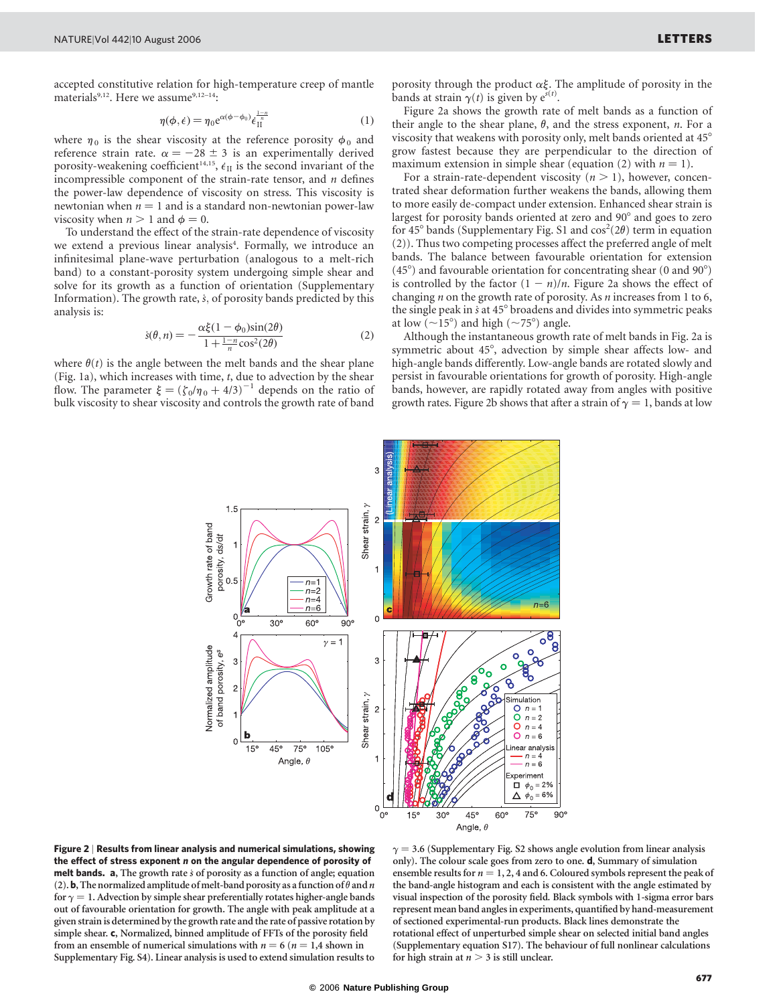accepted constitutive relation for high-temperature creep of mantle materials<sup>9,12</sup>. Here we assume<sup>9,12-14</sup>:

$$
\eta(\phi, \dot{\epsilon}) = \eta_0 e^{\alpha(\phi - \phi_0)} \dot{\epsilon}_{\text{II}}^{\frac{1-n}{n}} \tag{1}
$$

where  $\eta_0$  is the shear viscosity at the reference porosity  $\phi_0$  and reference strain rate.  $\alpha = -28 \pm 3$  is an experimentally derived porosity-weakening coefficient<sup>14,15</sup>,  $\epsilon_{II}$  is the second invariant of the incompressible component of the strain-rate tensor, and  $n$  defines the power-law dependence of viscosity on stress. This viscosity is newtonian when  $n = 1$  and is a standard non-newtonian power-law viscosity when  $n > 1$  and  $\phi = 0$ .

To understand the effect of the strain-rate dependence of viscosity we extend a previous linear analysis<sup>4</sup>. Formally, we introduce an infinitesimal plane-wave perturbation (analogous to a melt-rich band) to a constant-porosity system undergoing simple shear and solve for its growth as a function of orientation (Supplementary Information). The growth rate,  $\dot{s}$ , of porosity bands predicted by this analysis is:

$$
\dot{s}(\theta, n) = -\frac{\alpha \xi (1 - \phi_0) \sin(2\theta)}{1 + \frac{1 - n}{n} \cos^2(2\theta)}
$$
(2)

where  $\theta(t)$  is the angle between the melt bands and the shear plane (Fig. 1a), which increases with time, t, due to advection by the shear flow. The parameter  $\xi = (\zeta_0/\eta_0 + 4/3)^{-1}$  depends on the ratio of bulk viscosity to shear viscosity and controls the growth rate of band

porosity through the product  $\alpha \xi$ . The amplitude of porosity in the bands at strain  $\gamma(t)$  is given by  $e^{\zeta(t)}$ .

Figure 2a shows the growth rate of melt bands as a function of their angle to the shear plane,  $\theta$ , and the stress exponent, n. For a viscosity that weakens with porosity only, melt bands oriented at 45° grow fastest because they are perpendicular to the direction of maximum extension in simple shear (equation (2) with  $n = 1$ ).

For a strain-rate-dependent viscosity  $(n > 1)$ , however, concentrated shear deformation further weakens the bands, allowing them to more easily de-compact under extension. Enhanced shear strain is largest for porosity bands oriented at zero and 90° and goes to zero for 45° bands (Supplementary Fig. S1 and  $cos^2(2\theta)$  term in equation (2)). Thus two competing processes affect the preferred angle of melt bands. The balance between favourable orientation for extension  $(45^{\circ})$  and favourable orientation for concentrating shear (0 and 90 $^{\circ}$ ) is controlled by the factor  $(1 - n)/n$ . Figure 2a shows the effect of changing  $n$  on the growth rate of porosity. As  $n$  increases from 1 to 6, the single peak in  $\dot{s}$  at 45 $\degree$  broadens and divides into symmetric peaks at low ( $\sim$ 15°) and high ( $\sim$ 75°) angle.

Although the instantaneous growth rate of melt bands in Fig. 2a is symmetric about 45°, advection by simple shear affects low- and high-angle bands differently. Low-angle bands are rotated slowly and persist in favourable orientations for growth of porosity. High-angle bands, however, are rapidly rotated away from angles with positive growth rates. Figure 2b shows that after a strain of  $\gamma = 1$ , bands at low



Figure 2 | Results from linear analysis and numerical simulations, showing the effect of stress exponent *n* on the angular dependence of porosity of melt bands.  $a$ , The growth rate  $\dot{s}$  of porosity as a function of angle; equation (2). **b**, The normalized amplitude of melt-band porosity as a function of  $\theta$  and  $n$ for  $\gamma = 1$ . Advection by simple shear preferentially rotates higher-angle bands out of favourable orientation for growth. The angle with peak amplitude at a given strain is determined by the growth rate and the rate of passive rotation by simple shear. c, Normalized, binned amplitude of FFTs of the porosity field from an ensemble of numerical simulations with  $n = 6$  ( $n = 1,4$  shown in Supplementary Fig. S4). Linear analysis is used to extend simulation results to

 $\gamma = 3.6$  (Supplementary Fig. S2 shows angle evolution from linear analysis only). The colour scale goes from zero to one. d, Summary of simulation ensemble results for  $n = 1, 2, 4$  and 6. Coloured symbols represent the peak of the band-angle histogram and each is consistent with the angle estimated by visual inspection of the porosity field. Black symbols with 1-sigma error bars represent mean band angles in experiments, quantified by hand-measurement of sectioned experimental-run products. Black lines demonstrate the rotational effect of unperturbed simple shear on selected initial band angles (Supplementary equation S17). The behaviour of full nonlinear calculations for high strain at  $n > 3$  is still unclear.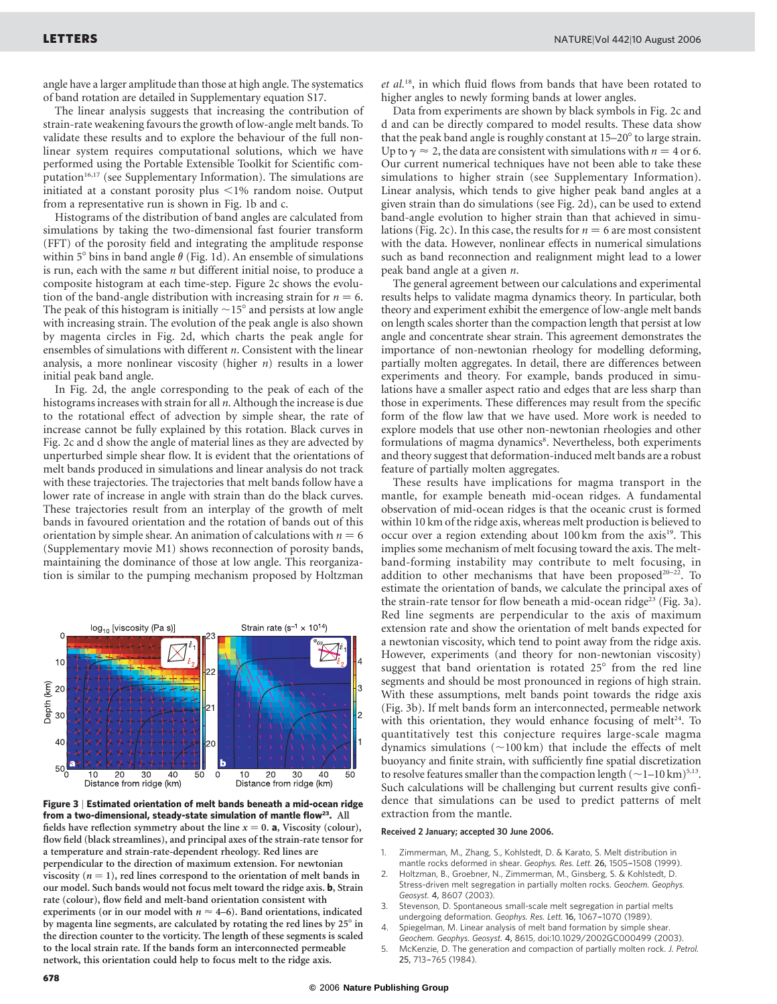angle have a larger amplitude than those at high angle. The systematics of band rotation are detailed in Supplementary equation S17.

The linear analysis suggests that increasing the contribution of strain-rate weakening favours the growth of low-angle melt bands. To validate these results and to explore the behaviour of the full nonlinear system requires computational solutions, which we have performed using the Portable Extensible Toolkit for Scientific computation<sup>16,17</sup> (see Supplementary Information). The simulations are initiated at a constant porosity plus  $\leq$ 1% random noise. Output from a representative run is shown in Fig. 1b and c.

Histograms of the distribution of band angles are calculated from simulations by taking the two-dimensional fast fourier transform (FFT) of the porosity field and integrating the amplitude response within  $5^{\circ}$  bins in band angle  $\theta$  (Fig. 1d). An ensemble of simulations is run, each with the same  $n$  but different initial noise, to produce a composite histogram at each time-step. Figure 2c shows the evolution of the band-angle distribution with increasing strain for  $n = 6$ . The peak of this histogram is initially  $\sim$ 15 $^{\circ}$  and persists at low angle with increasing strain. The evolution of the peak angle is also shown by magenta circles in Fig. 2d, which charts the peak angle for ensembles of simulations with different  $n$ . Consistent with the linear analysis, a more nonlinear viscosity (higher  $n$ ) results in a lower initial peak band angle.

In Fig. 2d, the angle corresponding to the peak of each of the histograms increases with strain for all  $n$ . Although the increase is due to the rotational effect of advection by simple shear, the rate of increase cannot be fully explained by this rotation. Black curves in Fig. 2c and d show the angle of material lines as they are advected by unperturbed simple shear flow. It is evident that the orientations of melt bands produced in simulations and linear analysis do not track with these trajectories. The trajectories that melt bands follow have a lower rate of increase in angle with strain than do the black curves. These trajectories result from an interplay of the growth of melt bands in favoured orientation and the rotation of bands out of this orientation by simple shear. An animation of calculations with  $n = 6$ (Supplementary movie M1) shows reconnection of porosity bands, maintaining the dominance of those at low angle. This reorganization is similar to the pumping mechanism proposed by Holtzman





et al.18, in which fluid flows from bands that have been rotated to higher angles to newly forming bands at lower angles.

Data from experiments are shown by black symbols in Fig. 2c and d and can be directly compared to model results. These data show that the peak band angle is roughly constant at  $15-20^\circ$  to large strain. Up to  $\gamma \approx 2$ , the data are consistent with simulations with  $n = 4$  or 6. Our current numerical techniques have not been able to take these simulations to higher strain (see Supplementary Information). Linear analysis, which tends to give higher peak band angles at a given strain than do simulations (see Fig. 2d), can be used to extend band-angle evolution to higher strain than that achieved in simulations (Fig. 2c). In this case, the results for  $n = 6$  are most consistent with the data. However, nonlinear effects in numerical simulations such as band reconnection and realignment might lead to a lower peak band angle at a given n.

The general agreement between our calculations and experimental results helps to validate magma dynamics theory. In particular, both theory and experiment exhibit the emergence of low-angle melt bands on length scales shorter than the compaction length that persist at low angle and concentrate shear strain. This agreement demonstrates the importance of non-newtonian rheology for modelling deforming, partially molten aggregates. In detail, there are differences between experiments and theory. For example, bands produced in simulations have a smaller aspect ratio and edges that are less sharp than those in experiments. These differences may result from the specific form of the flow law that we have used. More work is needed to explore models that use other non-newtonian rheologies and other formulations of magma dynamics<sup>8</sup>. Nevertheless, both experiments and theory suggest that deformation-induced melt bands are a robust feature of partially molten aggregates.

These results have implications for magma transport in the mantle, for example beneath mid-ocean ridges. A fundamental observation of mid-ocean ridges is that the oceanic crust is formed within 10 km of the ridge axis, whereas melt production is believed to occur over a region extending about 100 km from the axis<sup>19</sup>. This implies some mechanism of melt focusing toward the axis. The meltband-forming instability may contribute to melt focusing, in addition to other mechanisms that have been proposed<sup>20-22</sup>. To estimate the orientation of bands, we calculate the principal axes of the strain-rate tensor for flow beneath a mid-ocean ridge<sup>23</sup> (Fig. 3a). Red line segments are perpendicular to the axis of maximum extension rate and show the orientation of melt bands expected for a newtonian viscosity, which tend to point away from the ridge axis. However, experiments (and theory for non-newtonian viscosity) suggest that band orientation is rotated  $25^{\circ}$  from the red line segments and should be most pronounced in regions of high strain. With these assumptions, melt bands point towards the ridge axis (Fig. 3b). If melt bands form an interconnected, permeable network with this orientation, they would enhance focusing of melt<sup>24</sup>. To quantitatively test this conjecture requires large-scale magma dynamics simulations  $(\sim 100 \text{ km})$  that include the effects of melt buoyancy and finite strain, with sufficiently fine spatial discretization to resolve features smaller than the compaction length  $(\sim1-10\,\mathrm{km})^{5,13}$ . Such calculations will be challenging but current results give confidence that simulations can be used to predict patterns of melt extraction from the mantle.

## Received 2 January; accepted 30 June 2006.

- 1. Zimmerman, M., Zhang, S., Kohlstedt, D. & Karato, S. Melt distribution in
- mantle rocks deformed in shear. Geophys. Res. Lett. 26, 1505-1508 (1999). 2. Holtzman, B., Groebner, N., Zimmerman, M., Ginsberg, S. & Kohlstedt, D.
- Stress-driven melt segregation in partially molten rocks. Geochem. Geophys. Geosyst. 4, 8607 (2003).
- Stevenson, D. Spontaneous small-scale melt segregation in partial melts undergoing deformation. Geophys. Res. Lett. 16, 1067-1070 (1989).
- 4. Spiegelman, M. Linear analysis of melt band formation by simple shear. Geochem. Geophys. Geosyst. 4, 8615, doi:10.1029/2002GC000499 (2003).
- 5. McKenzie, D. The generation and compaction of partially molten rock. J. Petrol. 25, 713–-765 (1984).